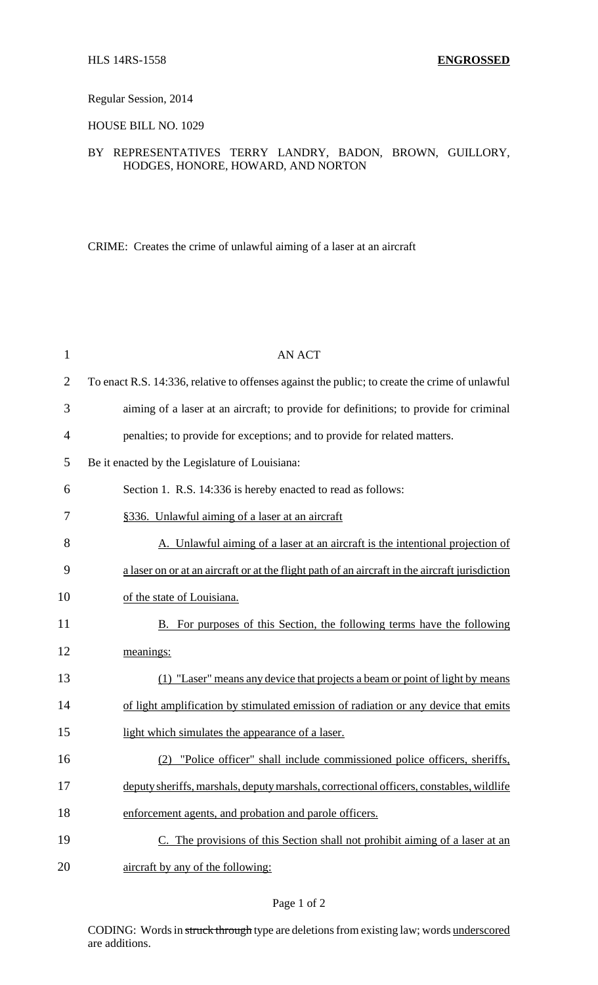### Regular Session, 2014

HOUSE BILL NO. 1029

## BY REPRESENTATIVES TERRY LANDRY, BADON, BROWN, GUILLORY, HODGES, HONORE, HOWARD, AND NORTON

CRIME: Creates the crime of unlawful aiming of a laser at an aircraft

| $\mathbf{1}$   | <b>AN ACT</b>                                                                                  |
|----------------|------------------------------------------------------------------------------------------------|
| $\overline{2}$ | To enact R.S. 14:336, relative to offenses against the public; to create the crime of unlawful |
| 3              | aiming of a laser at an aircraft; to provide for definitions; to provide for criminal          |
| $\overline{4}$ | penalties; to provide for exceptions; and to provide for related matters.                      |
| 5              | Be it enacted by the Legislature of Louisiana:                                                 |
| 6              | Section 1. R.S. 14:336 is hereby enacted to read as follows:                                   |
| 7              | §336. Unlawful aiming of a laser at an aircraft                                                |
| 8              | A. Unlawful aiming of a laser at an aircraft is the intentional projection of                  |
| 9              | a laser on or at an aircraft or at the flight path of an aircraft in the aircraft jurisdiction |
| 10             | of the state of Louisiana.                                                                     |
| 11             | B. For purposes of this Section, the following terms have the following                        |
| 12             | meanings:                                                                                      |
| 13             | (1) "Laser" means any device that projects a beam or point of light by means                   |
| 14             | of light amplification by stimulated emission of radiation or any device that emits            |
| 15             | light which simulates the appearance of a laser.                                               |
| 16             | "Police officer" shall include commissioned police officers, sheriffs,<br>(2)                  |
| 17             | deputy sheriffs, marshals, deputy marshals, correctional officers, constables, wildlife        |
| 18             | enforcement agents, and probation and parole officers.                                         |
| 19             | C. The provisions of this Section shall not prohibit aiming of a laser at an                   |
| 20             | aircraft by any of the following:                                                              |

### Page 1 of 2

CODING: Words in struck through type are deletions from existing law; words underscored are additions.